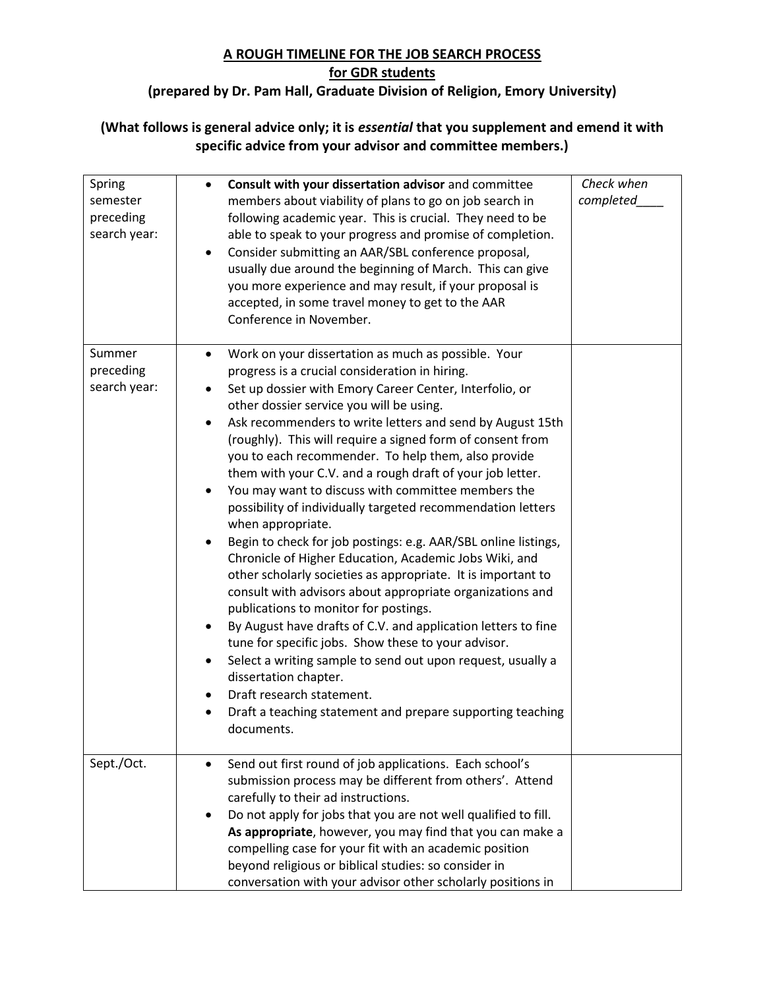## **A ROUGH TIMELINE FOR THE JOB SEARCH PROCESS**

## **for GDR students**

## **(prepared by Dr. Pam Hall, Graduate Division of Religion, Emory University)**

## **(What follows is general advice only; it is** *essential* **that you supplement and emend it with specific advice from your advisor and committee members.)**

| Spring<br>semester<br>preceding<br>search year: | Consult with your dissertation advisor and committee<br>$\bullet$<br>members about viability of plans to go on job search in<br>following academic year. This is crucial. They need to be<br>able to speak to your progress and promise of completion.<br>Consider submitting an AAR/SBL conference proposal,<br>$\bullet$<br>usually due around the beginning of March. This can give<br>you more experience and may result, if your proposal is<br>accepted, in some travel money to get to the AAR<br>Conference in November.                                                                                                                                                                                                                                                                                                                                                                                                                                                                                                                                                                                                                                                                                                                           | Check when<br>completed |
|-------------------------------------------------|------------------------------------------------------------------------------------------------------------------------------------------------------------------------------------------------------------------------------------------------------------------------------------------------------------------------------------------------------------------------------------------------------------------------------------------------------------------------------------------------------------------------------------------------------------------------------------------------------------------------------------------------------------------------------------------------------------------------------------------------------------------------------------------------------------------------------------------------------------------------------------------------------------------------------------------------------------------------------------------------------------------------------------------------------------------------------------------------------------------------------------------------------------------------------------------------------------------------------------------------------------|-------------------------|
| Summer<br>preceding<br>search year:             | Work on your dissertation as much as possible. Your<br>progress is a crucial consideration in hiring.<br>Set up dossier with Emory Career Center, Interfolio, or<br>other dossier service you will be using.<br>Ask recommenders to write letters and send by August 15th<br>$\bullet$<br>(roughly). This will require a signed form of consent from<br>you to each recommender. To help them, also provide<br>them with your C.V. and a rough draft of your job letter.<br>You may want to discuss with committee members the<br>$\bullet$<br>possibility of individually targeted recommendation letters<br>when appropriate.<br>Begin to check for job postings: e.g. AAR/SBL online listings,<br>Chronicle of Higher Education, Academic Jobs Wiki, and<br>other scholarly societies as appropriate. It is important to<br>consult with advisors about appropriate organizations and<br>publications to monitor for postings.<br>By August have drafts of C.V. and application letters to fine<br>tune for specific jobs. Show these to your advisor.<br>Select a writing sample to send out upon request, usually a<br>dissertation chapter.<br>Draft research statement.<br>Draft a teaching statement and prepare supporting teaching<br>documents. |                         |
| Sept./Oct.                                      | Send out first round of job applications. Each school's<br>submission process may be different from others'. Attend<br>carefully to their ad instructions.<br>Do not apply for jobs that you are not well qualified to fill.<br>٠<br>As appropriate, however, you may find that you can make a<br>compelling case for your fit with an academic position<br>beyond religious or biblical studies: so consider in<br>conversation with your advisor other scholarly positions in                                                                                                                                                                                                                                                                                                                                                                                                                                                                                                                                                                                                                                                                                                                                                                            |                         |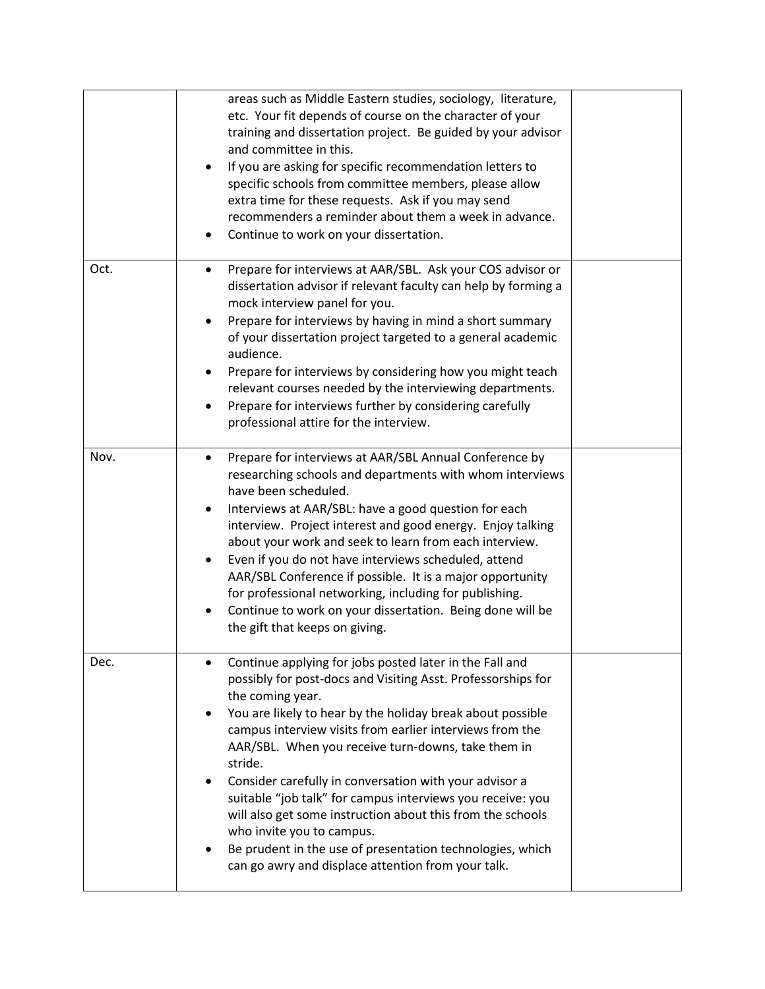|      | areas such as Middle Eastern studies, sociology, literature,<br>etc. Your fit depends of course on the character of your<br>training and dissertation project. Be guided by your advisor<br>and committee in this.<br>If you are asking for specific recommendation letters to<br>specific schools from committee members, please allow<br>extra time for these requests. Ask if you may send<br>recommenders a reminder about them a week in advance.<br>Continue to work on your dissertation.                                                                                                                                                                             |  |
|------|------------------------------------------------------------------------------------------------------------------------------------------------------------------------------------------------------------------------------------------------------------------------------------------------------------------------------------------------------------------------------------------------------------------------------------------------------------------------------------------------------------------------------------------------------------------------------------------------------------------------------------------------------------------------------|--|
| Oct. | Prepare for interviews at AAR/SBL. Ask your COS advisor or<br>dissertation advisor if relevant faculty can help by forming a<br>mock interview panel for you.<br>Prepare for interviews by having in mind a short summary<br>of your dissertation project targeted to a general academic<br>audience.<br>Prepare for interviews by considering how you might teach<br>relevant courses needed by the interviewing departments.<br>Prepare for interviews further by considering carefully<br>professional attire for the interview.                                                                                                                                          |  |
| Nov. | Prepare for interviews at AAR/SBL Annual Conference by<br>$\bullet$<br>researching schools and departments with whom interviews<br>have been scheduled.<br>Interviews at AAR/SBL: have a good question for each<br>interview. Project interest and good energy. Enjoy talking<br>about your work and seek to learn from each interview.<br>Even if you do not have interviews scheduled, attend<br>AAR/SBL Conference if possible. It is a major opportunity<br>for professional networking, including for publishing.<br>Continue to work on your dissertation. Being done will be<br>the gift that keeps on giving.                                                        |  |
| Dec. | Continue applying for jobs posted later in the Fall and<br>possibly for post-docs and Visiting Asst. Professorships for<br>the coming year.<br>You are likely to hear by the holiday break about possible<br>campus interview visits from earlier interviews from the<br>AAR/SBL. When you receive turn-downs, take them in<br>stride.<br>Consider carefully in conversation with your advisor a<br>suitable "job talk" for campus interviews you receive: you<br>will also get some instruction about this from the schools<br>who invite you to campus.<br>Be prudent in the use of presentation technologies, which<br>can go awry and displace attention from your talk. |  |